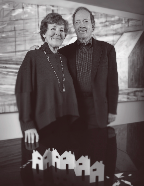